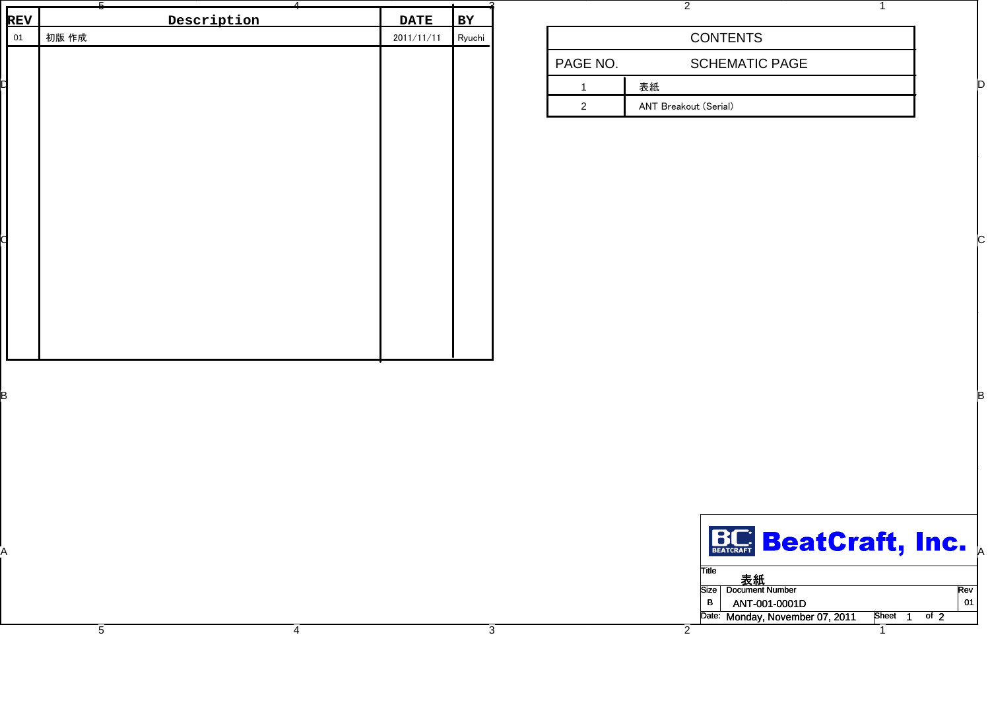|                  | Description | <b>DATE</b> |                     |
|------------------|-------------|-------------|---------------------|
| <b>REV</b><br>01 | 初版 作成       | 2011/11/11  | <b>BY</b><br>Ryuchi |
|                  |             |             |                     |
|                  |             |             |                     |
|                  |             |             |                     |
|                  |             |             |                     |
|                  |             |             |                     |
|                  |             |             |                     |
|                  |             |             |                     |
|                  |             |             |                     |
|                  |             |             |                     |
|                  |             |             |                     |
|                  |             |             |                     |
|                  |             |             |                     |
|                  |             |             |                     |

4

3

|          | <b>CONTENTS</b>       |  |
|----------|-----------------------|--|
| PAGE NO. | <b>SCHEMATIC PAGE</b> |  |
|          | 表紙                    |  |
|          | ANT Breakout (Serial) |  |

|  |  | <b>BC BeatCraft, Inc.</b>                        |     |
|--|--|--------------------------------------------------|-----|
|  |  | ∏itle<br>表紙                                      |     |
|  |  | Size   Document Number                           | Rev |
|  |  | - B<br>ANT-001-0001D                             | -01 |
|  |  | Date: Monday, November 07, 2011<br>Sheet<br>of 2 |     |
|  |  |                                                  |     |

5